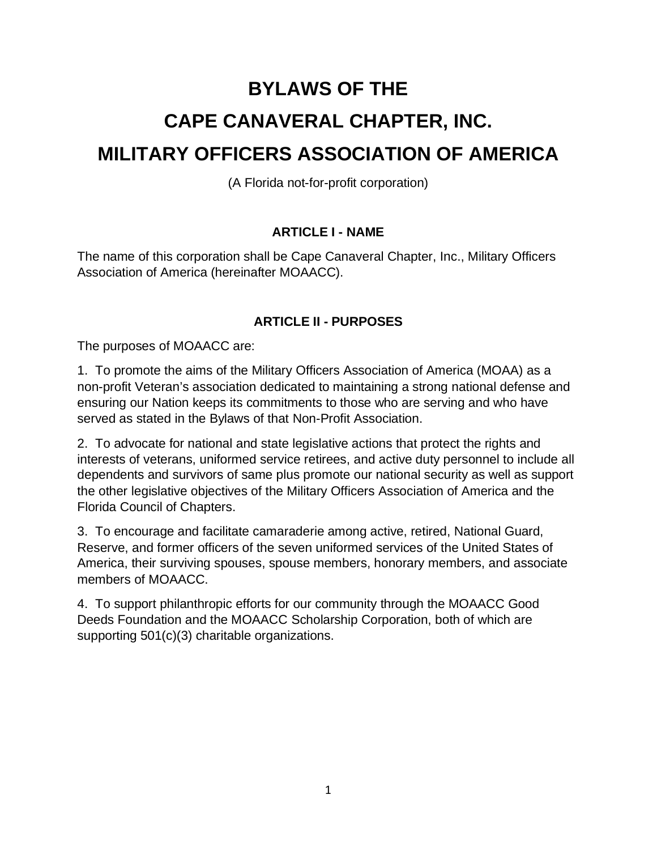# **BYLAWS OF THE CAPE CANAVERAL CHAPTER, INC. MILITARY OFFICERS ASSOCIATION OF AMERICA**

(A Florida not-for-profit corporation)

## **ARTICLE I - NAME**

The name of this corporation shall be Cape Canaveral Chapter, Inc., Military Officers Association of America (hereinafter MOAACC).

## **ARTICLE II - PURPOSES**

The purposes of MOAACC are:

1. To promote the aims of the Military Officers Association of America (MOAA) as a non-profit Veteran's association dedicated to maintaining a strong national defense and ensuring our Nation keeps its commitments to those who are serving and who have served as stated in the Bylaws of that Non-Profit Association.

2. To advocate for national and state legislative actions that protect the rights and interests of veterans, uniformed service retirees, and active duty personnel to include all dependents and survivors of same plus promote our national security as well as support the other legislative objectives of the Military Officers Association of America and the Florida Council of Chapters.

3. To encourage and facilitate camaraderie among active, retired, National Guard, Reserve, and former officers of the seven uniformed services of the United States of America, their surviving spouses, spouse members, honorary members, and associate members of MOAACC.

4. To support philanthropic efforts for our community through the MOAACC Good Deeds Foundation and the MOAACC Scholarship Corporation, both of which are supporting 501(c)(3) charitable organizations.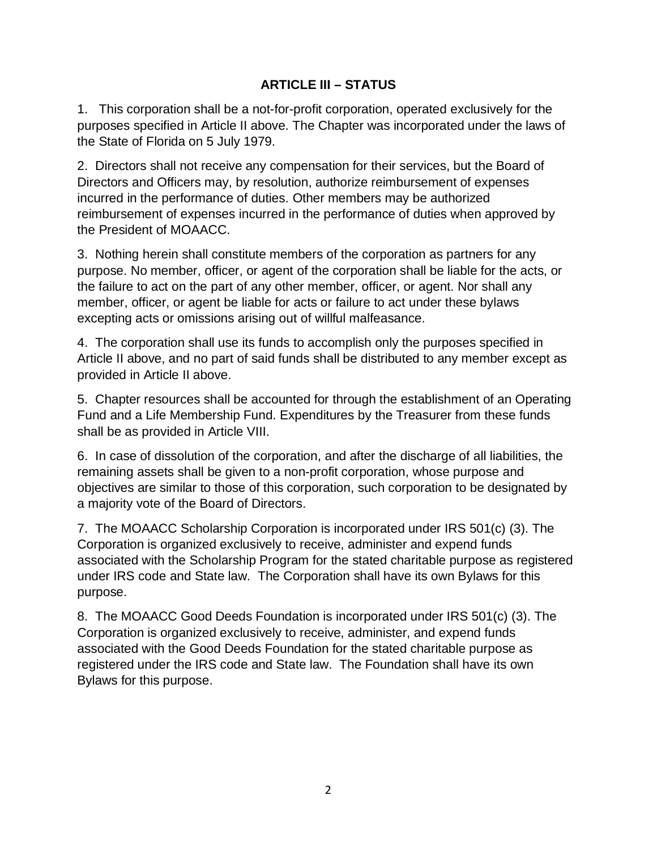## **ARTICLE III – STATUS**

1. This corporation shall be a not-for-profit corporation, operated exclusively for the purposes specified in Article II above. The Chapter was incorporated under the laws of the State of Florida on 5 July 1979.

2. Directors shall not receive any compensation for their services, but the Board of Directors and Officers may, by resolution, authorize reimbursement of expenses incurred in the performance of duties. Other members may be authorized reimbursement of expenses incurred in the performance of duties when approved by the President of MOAACC.

3. Nothing herein shall constitute members of the corporation as partners for any purpose. No member, officer, or agent of the corporation shall be liable for the acts, or the failure to act on the part of any other member, officer, or agent. Nor shall any member, officer, or agent be liable for acts or failure to act under these bylaws excepting acts or omissions arising out of willful malfeasance.

4. The corporation shall use its funds to accomplish only the purposes specified in Article II above, and no part of said funds shall be distributed to any member except as provided in Article II above.

5. Chapter resources shall be accounted for through the establishment of an Operating Fund and a Life Membership Fund. Expenditures by the Treasurer from these funds shall be as provided in Article VIII.

6. In case of dissolution of the corporation, and after the discharge of all liabilities, the remaining assets shall be given to a non-profit corporation, whose purpose and objectives are similar to those of this corporation, such corporation to be designated by a majority vote of the Board of Directors.

7. The MOAACC Scholarship Corporation is incorporated under IRS 501(c) (3). The Corporation is organized exclusively to receive, administer and expend funds associated with the Scholarship Program for the stated charitable purpose as registered under IRS code and State law. The Corporation shall have its own Bylaws for this purpose.

8. The MOAACC Good Deeds Foundation is incorporated under IRS 501(c) (3). The Corporation is organized exclusively to receive, administer, and expend funds associated with the Good Deeds Foundation for the stated charitable purpose as registered under the IRS code and State law. The Foundation shall have its own Bylaws for this purpose.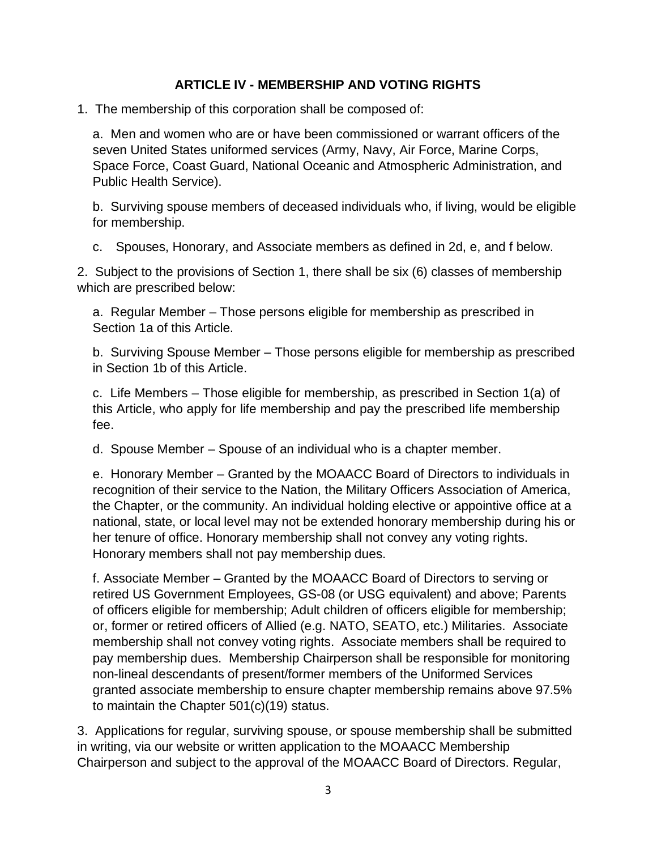## **ARTICLE IV - MEMBERSHIP AND VOTING RIGHTS**

1. The membership of this corporation shall be composed of:

a. Men and women who are or have been commissioned or warrant officers of the seven United States uniformed services (Army, Navy, Air Force, Marine Corps, Space Force, Coast Guard, National Oceanic and Atmospheric Administration, and Public Health Service).

b. Surviving spouse members of deceased individuals who, if living, would be eligible for membership.

c. Spouses, Honorary, and Associate members as defined in 2d, e, and f below.

2. Subject to the provisions of Section 1, there shall be six (6) classes of membership which are prescribed below:

a. Regular Member – Those persons eligible for membership as prescribed in Section 1a of this Article.

b. Surviving Spouse Member – Those persons eligible for membership as prescribed in Section 1b of this Article.

c. Life Members – Those eligible for membership, as prescribed in Section 1(a) of this Article, who apply for life membership and pay the prescribed life membership fee.

d. Spouse Member – Spouse of an individual who is a chapter member.

e. Honorary Member – Granted by the MOAACC Board of Directors to individuals in recognition of their service to the Nation, the Military Officers Association of America, the Chapter, or the community. An individual holding elective or appointive office at a national, state, or local level may not be extended honorary membership during his or her tenure of office. Honorary membership shall not convey any voting rights. Honorary members shall not pay membership dues.

f. Associate Member – Granted by the MOAACC Board of Directors to serving or retired US Government Employees, GS-08 (or USG equivalent) and above; Parents of officers eligible for membership; Adult children of officers eligible for membership; or, former or retired officers of Allied (e.g. NATO, SEATO, etc.) Militaries. Associate membership shall not convey voting rights. Associate members shall be required to pay membership dues. Membership Chairperson shall be responsible for monitoring non-lineal descendants of present/former members of the Uniformed Services granted associate membership to ensure chapter membership remains above 97.5% to maintain the Chapter 501(c)(19) status.

3. Applications for regular, surviving spouse, or spouse membership shall be submitted in writing, via our website or written application to the MOAACC Membership Chairperson and subject to the approval of the MOAACC Board of Directors. Regular,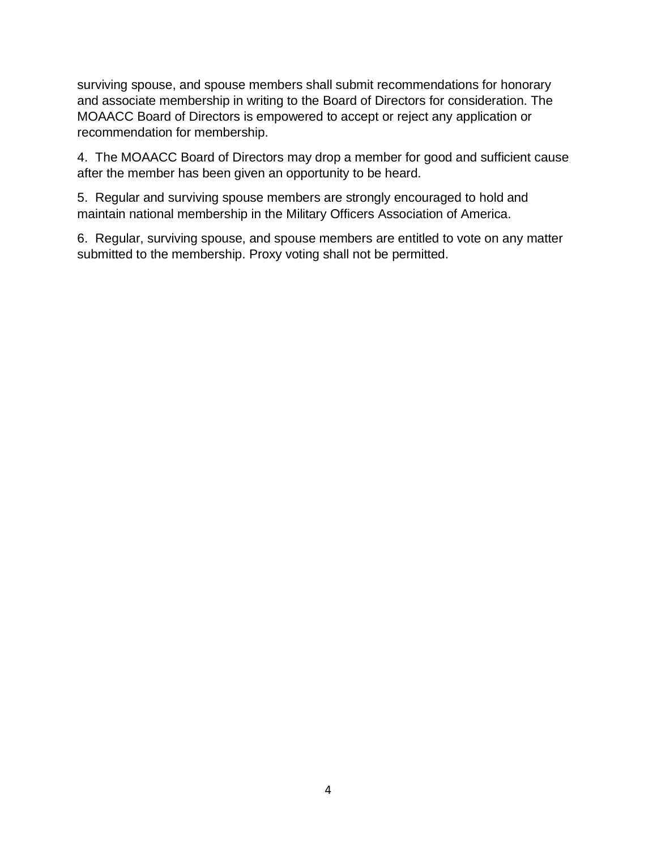surviving spouse, and spouse members shall submit recommendations for honorary and associate membership in writing to the Board of Directors for consideration. The MOAACC Board of Directors is empowered to accept or reject any application or recommendation for membership.

4. The MOAACC Board of Directors may drop a member for good and sufficient cause after the member has been given an opportunity to be heard.

5. Regular and surviving spouse members are strongly encouraged to hold and maintain national membership in the Military Officers Association of America.

6. Regular, surviving spouse, and spouse members are entitled to vote on any matter submitted to the membership. Proxy voting shall not be permitted.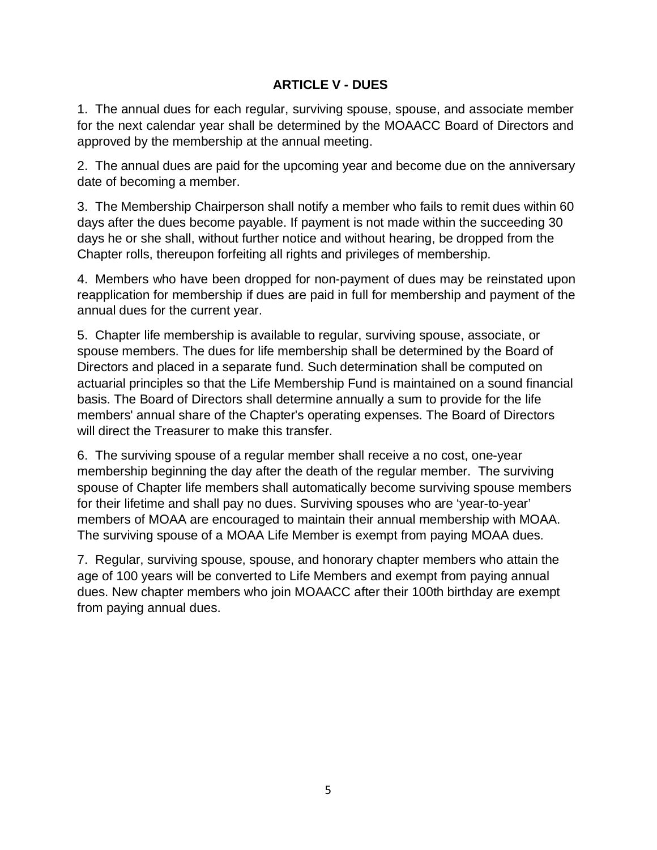## **ARTICLE V - DUES**

1. The annual dues for each regular, surviving spouse, spouse, and associate member for the next calendar year shall be determined by the MOAACC Board of Directors and approved by the membership at the annual meeting.

2. The annual dues are paid for the upcoming year and become due on the anniversary date of becoming a member.

3. The Membership Chairperson shall notify a member who fails to remit dues within 60 days after the dues become payable. If payment is not made within the succeeding 30 days he or she shall, without further notice and without hearing, be dropped from the Chapter rolls, thereupon forfeiting all rights and privileges of membership.

4. Members who have been dropped for non-payment of dues may be reinstated upon reapplication for membership if dues are paid in full for membership and payment of the annual dues for the current year.

5. Chapter life membership is available to regular, surviving spouse, associate, or spouse members. The dues for life membership shall be determined by the Board of Directors and placed in a separate fund. Such determination shall be computed on actuarial principles so that the Life Membership Fund is maintained on a sound financial basis. The Board of Directors shall determine annually a sum to provide for the life members' annual share of the Chapter's operating expenses. The Board of Directors will direct the Treasurer to make this transfer.

6. The surviving spouse of a regular member shall receive a no cost, one-year membership beginning the day after the death of the regular member. The surviving spouse of Chapter life members shall automatically become surviving spouse members for their lifetime and shall pay no dues. Surviving spouses who are 'year-to-year' members of MOAA are encouraged to maintain their annual membership with MOAA. The surviving spouse of a MOAA Life Member is exempt from paying MOAA dues.

7. Regular, surviving spouse, spouse, and honorary chapter members who attain the age of 100 years will be converted to Life Members and exempt from paying annual dues. New chapter members who join MOAACC after their 100th birthday are exempt from paying annual dues.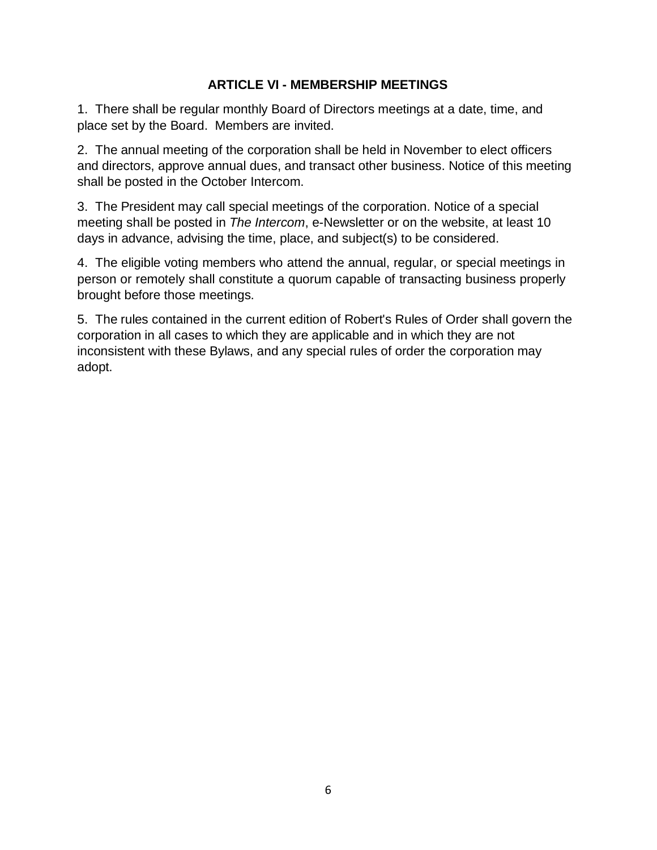#### **ARTICLE VI - MEMBERSHIP MEETINGS**

1. There shall be regular monthly Board of Directors meetings at a date, time, and place set by the Board. Members are invited.

2. The annual meeting of the corporation shall be held in November to elect officers and directors, approve annual dues, and transact other business. Notice of this meeting shall be posted in the October Intercom.

3. The President may call special meetings of the corporation. Notice of a special meeting shall be posted in *The Intercom*, e-Newsletter or on the website, at least 10 days in advance, advising the time, place, and subject(s) to be considered.

4. The eligible voting members who attend the annual, regular, or special meetings in person or remotely shall constitute a quorum capable of transacting business properly brought before those meetings.

5. The rules contained in the current edition of Robert's Rules of Order shall govern the corporation in all cases to which they are applicable and in which they are not inconsistent with these Bylaws, and any special rules of order the corporation may adopt.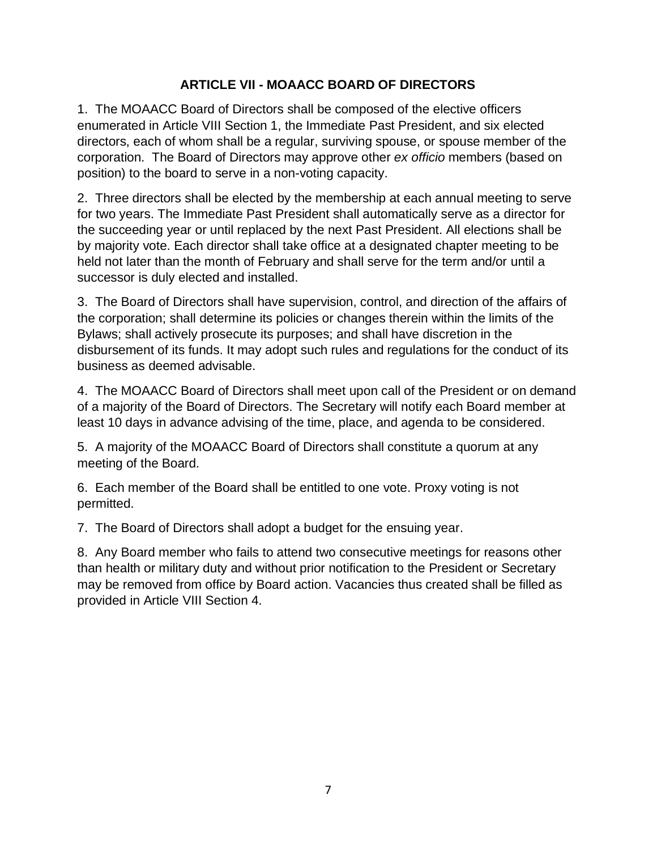## **ARTICLE VII - MOAACC BOARD OF DIRECTORS**

1. The MOAACC Board of Directors shall be composed of the elective officers enumerated in Article VIII Section 1, the Immediate Past President, and six elected directors, each of whom shall be a regular, surviving spouse, or spouse member of the corporation. The Board of Directors may approve other *ex officio* members (based on position) to the board to serve in a non-voting capacity.

2. Three directors shall be elected by the membership at each annual meeting to serve for two years. The Immediate Past President shall automatically serve as a director for the succeeding year or until replaced by the next Past President. All elections shall be by majority vote. Each director shall take office at a designated chapter meeting to be held not later than the month of February and shall serve for the term and/or until a successor is duly elected and installed.

3. The Board of Directors shall have supervision, control, and direction of the affairs of the corporation; shall determine its policies or changes therein within the limits of the Bylaws; shall actively prosecute its purposes; and shall have discretion in the disbursement of its funds. It may adopt such rules and regulations for the conduct of its business as deemed advisable.

4. The MOAACC Board of Directors shall meet upon call of the President or on demand of a majority of the Board of Directors. The Secretary will notify each Board member at least 10 days in advance advising of the time, place, and agenda to be considered.

5. A majority of the MOAACC Board of Directors shall constitute a quorum at any meeting of the Board.

6. Each member of the Board shall be entitled to one vote. Proxy voting is not permitted.

7. The Board of Directors shall adopt a budget for the ensuing year.

8. Any Board member who fails to attend two consecutive meetings for reasons other than health or military duty and without prior notification to the President or Secretary may be removed from office by Board action. Vacancies thus created shall be filled as provided in Article VIII Section 4.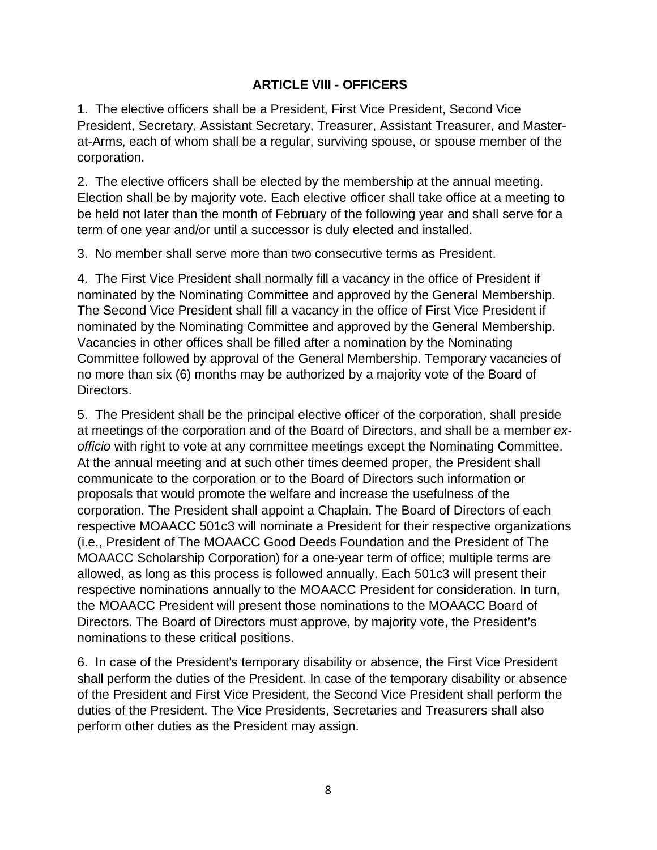#### **ARTICLE VIII - OFFICERS**

1. The elective officers shall be a President, First Vice President, Second Vice President, Secretary, Assistant Secretary, Treasurer, Assistant Treasurer, and Masterat-Arms, each of whom shall be a regular, surviving spouse, or spouse member of the corporation.

2. The elective officers shall be elected by the membership at the annual meeting. Election shall be by majority vote. Each elective officer shall take office at a meeting to be held not later than the month of February of the following year and shall serve for a term of one year and/or until a successor is duly elected and installed.

3. No member shall serve more than two consecutive terms as President.

4. The First Vice President shall normally fill a vacancy in the office of President if nominated by the Nominating Committee and approved by the General Membership. The Second Vice President shall fill a vacancy in the office of First Vice President if nominated by the Nominating Committee and approved by the General Membership. Vacancies in other offices shall be filled after a nomination by the Nominating Committee followed by approval of the General Membership. Temporary vacancies of no more than six (6) months may be authorized by a majority vote of the Board of Directors.

5. The President shall be the principal elective officer of the corporation, shall preside at meetings of the corporation and of the Board of Directors, and shall be a member *exofficio* with right to vote at any committee meetings except the Nominating Committee. At the annual meeting and at such other times deemed proper, the President shall communicate to the corporation or to the Board of Directors such information or proposals that would promote the welfare and increase the usefulness of the corporation. The President shall appoint a Chaplain. The Board of Directors of each respective MOAACC 501c3 will nominate a President for their respective organizations (i.e., President of The MOAACC Good Deeds Foundation and the President of The MOAACC Scholarship Corporation) for a one-year term of office; multiple terms are allowed, as long as this process is followed annually. Each 501c3 will present their respective nominations annually to the MOAACC President for consideration. In turn, the MOAACC President will present those nominations to the MOAACC Board of Directors. The Board of Directors must approve, by majority vote, the President's nominations to these critical positions.

6. In case of the President's temporary disability or absence, the First Vice President shall perform the duties of the President. In case of the temporary disability or absence of the President and First Vice President, the Second Vice President shall perform the duties of the President. The Vice Presidents, Secretaries and Treasurers shall also perform other duties as the President may assign.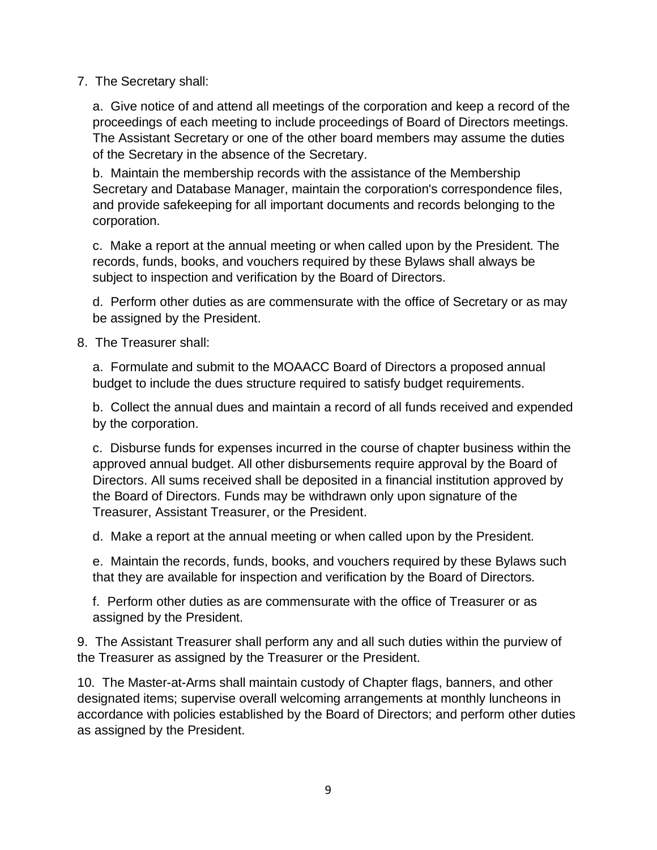#### 7. The Secretary shall:

a. Give notice of and attend all meetings of the corporation and keep a record of the proceedings of each meeting to include proceedings of Board of Directors meetings. The Assistant Secretary or one of the other board members may assume the duties of the Secretary in the absence of the Secretary.

b. Maintain the membership records with the assistance of the Membership Secretary and Database Manager, maintain the corporation's correspondence files, and provide safekeeping for all important documents and records belonging to the corporation.

c. Make a report at the annual meeting or when called upon by the President. The records, funds, books, and vouchers required by these Bylaws shall always be subject to inspection and verification by the Board of Directors.

d. Perform other duties as are commensurate with the office of Secretary or as may be assigned by the President.

8. The Treasurer shall:

a. Formulate and submit to the MOAACC Board of Directors a proposed annual budget to include the dues structure required to satisfy budget requirements.

b. Collect the annual dues and maintain a record of all funds received and expended by the corporation.

c. Disburse funds for expenses incurred in the course of chapter business within the approved annual budget. All other disbursements require approval by the Board of Directors. All sums received shall be deposited in a financial institution approved by the Board of Directors. Funds may be withdrawn only upon signature of the Treasurer, Assistant Treasurer, or the President.

d. Make a report at the annual meeting or when called upon by the President.

e. Maintain the records, funds, books, and vouchers required by these Bylaws such that they are available for inspection and verification by the Board of Directors.

f. Perform other duties as are commensurate with the office of Treasurer or as assigned by the President.

9. The Assistant Treasurer shall perform any and all such duties within the purview of the Treasurer as assigned by the Treasurer or the President.

10. The Master-at-Arms shall maintain custody of Chapter flags, banners, and other designated items; supervise overall welcoming arrangements at monthly luncheons in accordance with policies established by the Board of Directors; and perform other duties as assigned by the President.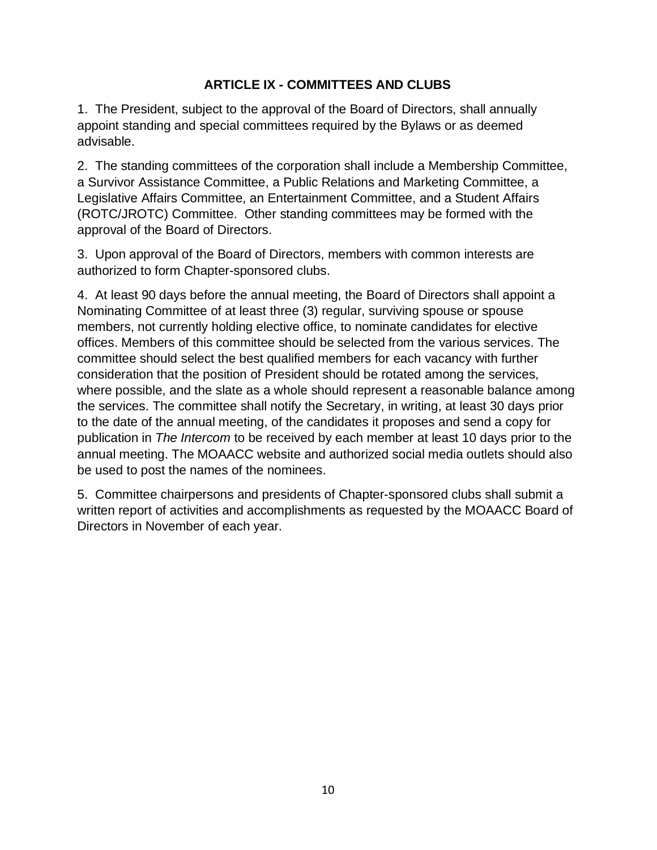## **ARTICLE IX - COMMITTEES AND CLUBS**

1. The President, subject to the approval of the Board of Directors, shall annually appoint standing and special committees required by the Bylaws or as deemed advisable.

2. The standing committees of the corporation shall include a Membership Committee, a Survivor Assistance Committee, a Public Relations and Marketing Committee, a Legislative Affairs Committee, an Entertainment Committee, and a Student Affairs (ROTC/JROTC) Committee. Other standing committees may be formed with the approval of the Board of Directors.

3. Upon approval of the Board of Directors, members with common interests are authorized to form Chapter-sponsored clubs.

4. At least 90 days before the annual meeting, the Board of Directors shall appoint a Nominating Committee of at least three (3) regular, surviving spouse or spouse members, not currently holding elective office, to nominate candidates for elective offices. Members of this committee should be selected from the various services. The committee should select the best qualified members for each vacancy with further consideration that the position of President should be rotated among the services, where possible, and the slate as a whole should represent a reasonable balance among the services. The committee shall notify the Secretary, in writing, at least 30 days prior to the date of the annual meeting, of the candidates it proposes and send a copy for publication in *The Intercom* to be received by each member at least 10 days prior to the annual meeting. The MOAACC website and authorized social media outlets should also be used to post the names of the nominees.

5. Committee chairpersons and presidents of Chapter-sponsored clubs shall submit a written report of activities and accomplishments as requested by the MOAACC Board of Directors in November of each year.